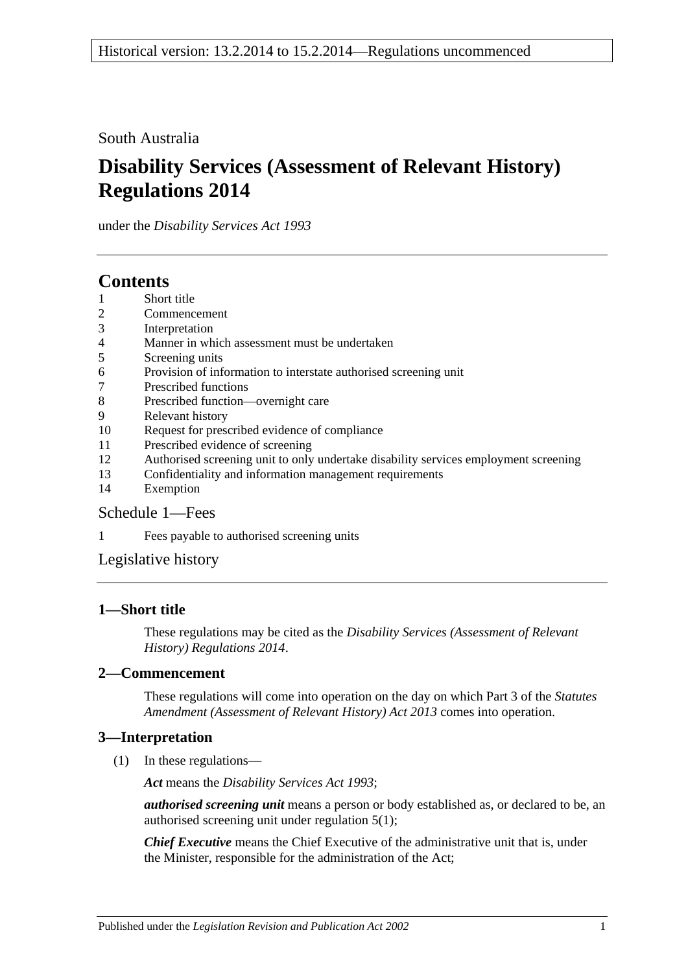South Australia

# **Disability Services (Assessment of Relevant History) Regulations 2014**

under the *Disability Services Act 1993*

## **Contents**

- 1 [Short title](#page-0-0)
- 2 [Commencement](#page-0-1)
- 3 [Interpretation](#page-0-2)
- 4 [Manner in which assessment must be undertaken](#page-1-0)
- 5 [Screening units](#page-1-1)
- 6 [Provision of information to interstate authorised screening unit](#page-1-2)
- 7 [Prescribed functions](#page-1-3)
- 8 [Prescribed function—overnight care](#page-2-0)
- 9 [Relevant history](#page-2-1)
- 10 [Request for prescribed evidence of compliance](#page-2-2)
- 11 [Prescribed evidence of screening](#page-3-0)
- 12 [Authorised screening unit to only undertake disability services employment screening](#page-3-1)
- 13 [Confidentiality and information management requirements](#page-3-2)
- 14 [Exemption](#page-4-0)

### [Schedule](#page-4-1) 1—Fees

1 [Fees payable to authorised screening units](#page-4-2)

### [Legislative history](#page-6-0)

### <span id="page-0-0"></span>**1—Short title**

These regulations may be cited as the *Disability Services (Assessment of Relevant History) Regulations 2014*.

#### <span id="page-0-1"></span>**2—Commencement**

These regulations will come into operation on the day on which Part 3 of the *[Statutes](http://www.legislation.sa.gov.au/index.aspx?action=legref&type=act&legtitle=Statutes%20Amendment%20(Assessment%20of%20Relevant%20History)%20Act%202013)  [Amendment \(Assessment of Relevant History\) Act](http://www.legislation.sa.gov.au/index.aspx?action=legref&type=act&legtitle=Statutes%20Amendment%20(Assessment%20of%20Relevant%20History)%20Act%202013) 2013* comes into operation.

### <span id="page-0-2"></span>**3—Interpretation**

(1) In these regulations—

*Act* means the *[Disability Services Act](http://www.legislation.sa.gov.au/index.aspx?action=legref&type=act&legtitle=Disability%20Services%20Act%201993) 1993*;

*authorised screening unit* means a person or body established as, or declared to be, an authorised screening unit under [regulation](#page-1-4) 5(1);

*Chief Executive* means the Chief Executive of the administrative unit that is, under the Minister, responsible for the administration of the Act;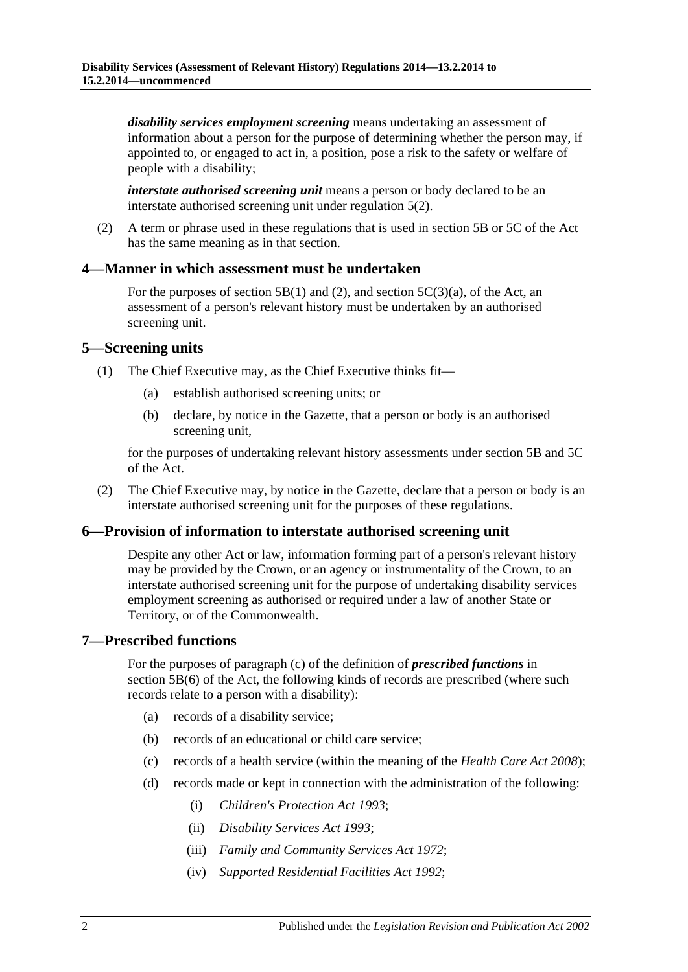*disability services employment screening* means undertaking an assessment of information about a person for the purpose of determining whether the person may, if appointed to, or engaged to act in, a position, pose a risk to the safety or welfare of people with a disability;

*interstate authorised screening unit* means a person or body declared to be an interstate authorised screening unit under [regulation](#page-1-5) 5(2).

(2) A term or phrase used in these regulations that is used in section 5B or 5C of the Act has the same meaning as in that section.

#### <span id="page-1-0"></span>**4—Manner in which assessment must be undertaken**

For the purposes of section 5B(1) and (2), and section  $5C(3)(a)$ , of the Act, an assessment of a person's relevant history must be undertaken by an authorised screening unit.

#### <span id="page-1-4"></span><span id="page-1-1"></span>**5—Screening units**

- <span id="page-1-6"></span>(1) The Chief Executive may, as the Chief Executive thinks fit—
	- (a) establish authorised screening units; or
	- (b) declare, by notice in the Gazette, that a person or body is an authorised screening unit,

for the purposes of undertaking relevant history assessments under section 5B and 5C of the Act.

<span id="page-1-5"></span>(2) The Chief Executive may, by notice in the Gazette, declare that a person or body is an interstate authorised screening unit for the purposes of these regulations.

#### <span id="page-1-2"></span>**6—Provision of information to interstate authorised screening unit**

Despite any other Act or law, information forming part of a person's relevant history may be provided by the Crown, or an agency or instrumentality of the Crown, to an interstate authorised screening unit for the purpose of undertaking disability services employment screening as authorised or required under a law of another State or Territory, or of the Commonwealth.

#### <span id="page-1-3"></span>**7—Prescribed functions**

For the purposes of paragraph (c) of the definition of *prescribed functions* in section 5B(6) of the Act, the following kinds of records are prescribed (where such records relate to a person with a disability):

- (a) records of a disability service;
- (b) records of an educational or child care service;
- (c) records of a health service (within the meaning of the *[Health Care Act](http://www.legislation.sa.gov.au/index.aspx?action=legref&type=act&legtitle=Health%20Care%20Act%202008) 2008*);
- (d) records made or kept in connection with the administration of the following:
	- (i) *[Children's Protection Act](http://www.legislation.sa.gov.au/index.aspx?action=legref&type=act&legtitle=Childrens%20Protection%20Act%201993) 1993*;
	- (ii) *[Disability Services Act](http://www.legislation.sa.gov.au/index.aspx?action=legref&type=act&legtitle=Disability%20Services%20Act%201993) 1993*;
	- (iii) *[Family and Community Services Act](http://www.legislation.sa.gov.au/index.aspx?action=legref&type=act&legtitle=Family%20and%20Community%20Services%20Act%201972) 1972*;
	- (iv) *[Supported Residential Facilities Act](http://www.legislation.sa.gov.au/index.aspx?action=legref&type=act&legtitle=Supported%20Residential%20Facilities%20Act%201992) 1992*;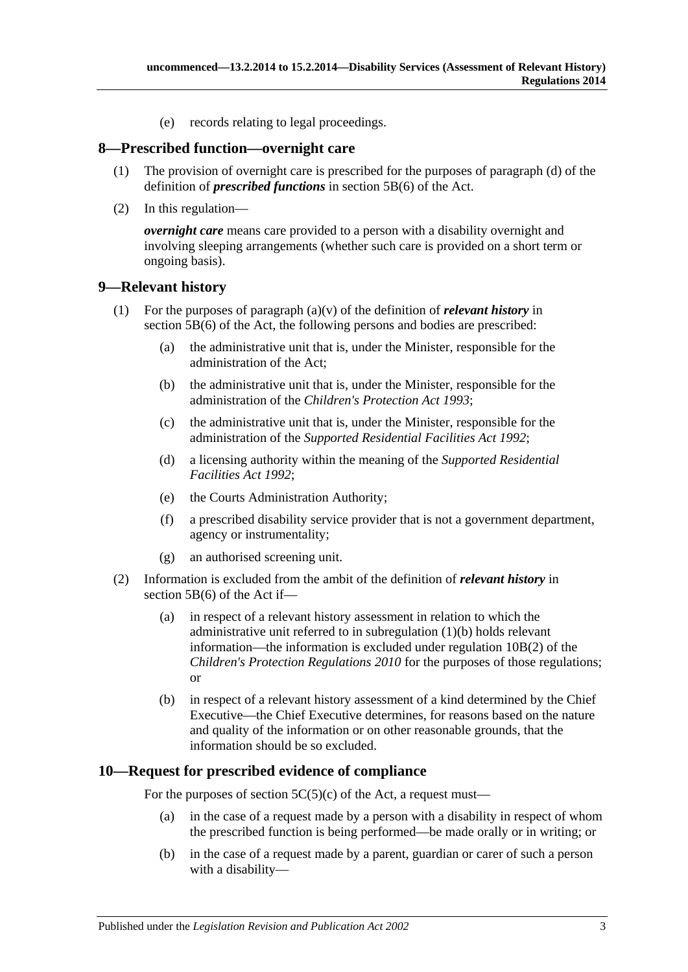(e) records relating to legal proceedings.

#### <span id="page-2-0"></span>**8—Prescribed function—overnight care**

- (1) The provision of overnight care is prescribed for the purposes of paragraph (d) of the definition of *prescribed functions* in section 5B(6) of the Act.
- (2) In this regulation—

*overnight care* means care provided to a person with a disability overnight and involving sleeping arrangements (whether such care is provided on a short term or ongoing basis).

#### <span id="page-2-1"></span>**9—Relevant history**

- <span id="page-2-3"></span>(1) For the purposes of paragraph (a)(v) of the definition of *relevant history* in section 5B(6) of the Act, the following persons and bodies are prescribed:
	- (a) the administrative unit that is, under the Minister, responsible for the administration of the Act;
	- (b) the administrative unit that is, under the Minister, responsible for the administration of the *[Children's Protection Act](http://www.legislation.sa.gov.au/index.aspx?action=legref&type=act&legtitle=Childrens%20Protection%20Act%201993) 1993*;
	- (c) the administrative unit that is, under the Minister, responsible for the administration of the *[Supported Residential Facilities Act](http://www.legislation.sa.gov.au/index.aspx?action=legref&type=act&legtitle=Supported%20Residential%20Facilities%20Act%201992) 1992*;
	- (d) a licensing authority within the meaning of the *[Supported Residential](http://www.legislation.sa.gov.au/index.aspx?action=legref&type=act&legtitle=Supported%20Residential%20Facilities%20Act%201992)  [Facilities Act](http://www.legislation.sa.gov.au/index.aspx?action=legref&type=act&legtitle=Supported%20Residential%20Facilities%20Act%201992) 1992*;
	- (e) the Courts Administration Authority;
	- (f) a prescribed disability service provider that is not a government department, agency or instrumentality;
	- (g) an authorised screening unit.
- (2) Information is excluded from the ambit of the definition of *relevant history* in section 5B(6) of the Act if—
	- (a) in respect of a relevant history assessment in relation to which the administrative unit referred to in [subregulation](#page-2-3) (1)(b) holds relevant information—the information is excluded under regulation 10B(2) of the *[Children's Protection Regulations](http://www.legislation.sa.gov.au/index.aspx?action=legref&type=subordleg&legtitle=Childrens%20Protection%20Regulations%202010) 2010* for the purposes of those regulations; or
	- (b) in respect of a relevant history assessment of a kind determined by the Chief Executive—the Chief Executive determines, for reasons based on the nature and quality of the information or on other reasonable grounds, that the information should be so excluded.

#### <span id="page-2-2"></span>**10—Request for prescribed evidence of compliance**

For the purposes of section  $5C(5)(c)$  of the Act, a request must—

- (a) in the case of a request made by a person with a disability in respect of whom the prescribed function is being performed—be made orally or in writing; or
- (b) in the case of a request made by a parent, guardian or carer of such a person with a disability—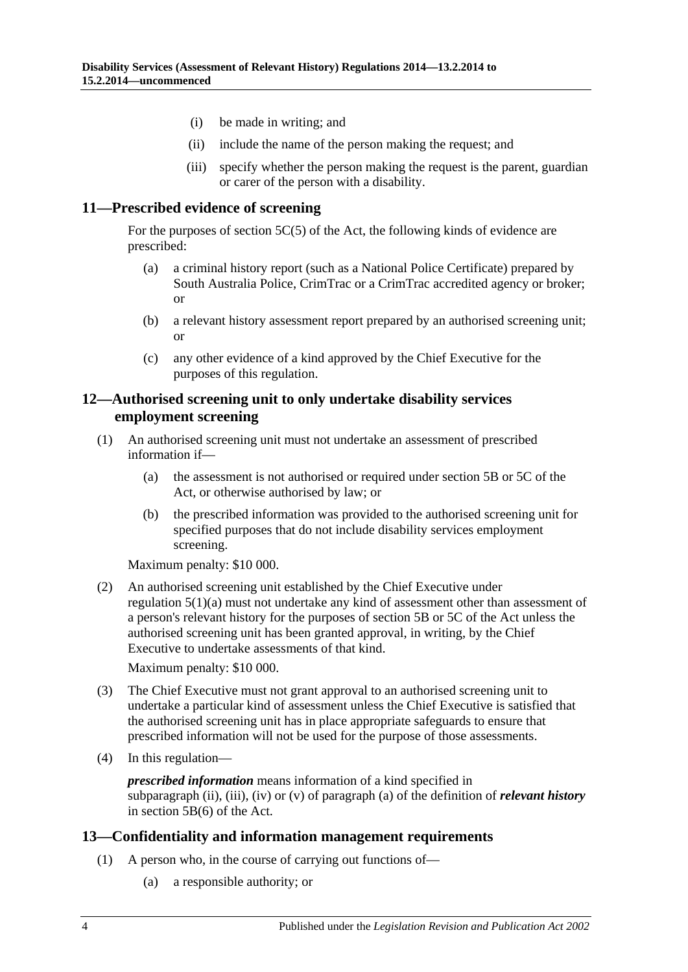- (i) be made in writing; and
- (ii) include the name of the person making the request; and
- (iii) specify whether the person making the request is the parent, guardian or carer of the person with a disability.

#### <span id="page-3-0"></span>**11—Prescribed evidence of screening**

For the purposes of section 5C(5) of the Act, the following kinds of evidence are prescribed:

- (a) a criminal history report (such as a National Police Certificate) prepared by South Australia Police, CrimTrac or a CrimTrac accredited agency or broker; or
- (b) a relevant history assessment report prepared by an authorised screening unit; or
- (c) any other evidence of a kind approved by the Chief Executive for the purposes of this regulation.

#### <span id="page-3-1"></span>**12—Authorised screening unit to only undertake disability services employment screening**

- (1) An authorised screening unit must not undertake an assessment of prescribed information if—
	- (a) the assessment is not authorised or required under section 5B or 5C of the Act, or otherwise authorised by law; or
	- (b) the prescribed information was provided to the authorised screening unit for specified purposes that do not include disability services employment screening.

Maximum penalty: \$10 000.

(2) An authorised screening unit established by the Chief Executive under [regulation](#page-1-6) 5(1)(a) must not undertake any kind of assessment other than assessment of a person's relevant history for the purposes of section 5B or 5C of the Act unless the authorised screening unit has been granted approval, in writing, by the Chief Executive to undertake assessments of that kind.

Maximum penalty: \$10 000.

- (3) The Chief Executive must not grant approval to an authorised screening unit to undertake a particular kind of assessment unless the Chief Executive is satisfied that the authorised screening unit has in place appropriate safeguards to ensure that prescribed information will not be used for the purpose of those assessments.
- (4) In this regulation—

*prescribed information* means information of a kind specified in subparagraph (ii), (iii), (iv) or (v) of paragraph (a) of the definition of *relevant history* in section 5B(6) of the Act.

#### <span id="page-3-2"></span>**13—Confidentiality and information management requirements**

- (1) A person who, in the course of carrying out functions of—
	- (a) a responsible authority; or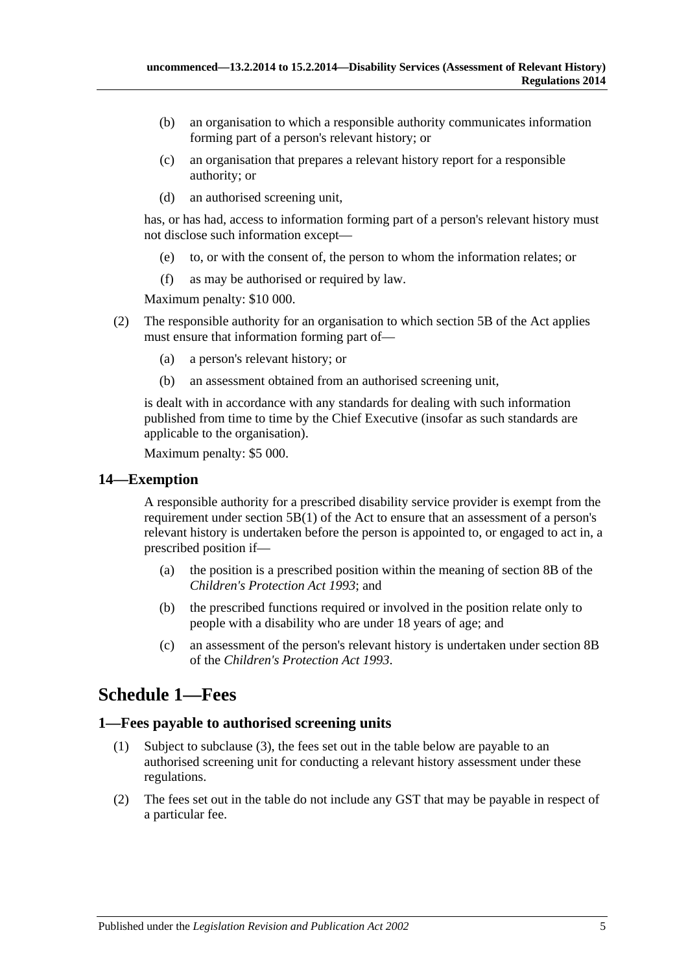- (b) an organisation to which a responsible authority communicates information forming part of a person's relevant history; or
- (c) an organisation that prepares a relevant history report for a responsible authority; or
- (d) an authorised screening unit,

has, or has had, access to information forming part of a person's relevant history must not disclose such information except—

- (e) to, or with the consent of, the person to whom the information relates; or
- (f) as may be authorised or required by law.

Maximum penalty: \$10 000.

- (2) The responsible authority for an organisation to which section 5B of the Act applies must ensure that information forming part of—
	- (a) a person's relevant history; or
	- (b) an assessment obtained from an authorised screening unit,

is dealt with in accordance with any standards for dealing with such information published from time to time by the Chief Executive (insofar as such standards are applicable to the organisation).

Maximum penalty: \$5 000.

#### <span id="page-4-0"></span>**14—Exemption**

A responsible authority for a prescribed disability service provider is exempt from the requirement under section 5B(1) of the Act to ensure that an assessment of a person's relevant history is undertaken before the person is appointed to, or engaged to act in, a prescribed position if—

- (a) the position is a prescribed position within the meaning of section 8B of the *[Children's Protection Act](http://www.legislation.sa.gov.au/index.aspx?action=legref&type=act&legtitle=Childrens%20Protection%20Act%201993) 1993*; and
- (b) the prescribed functions required or involved in the position relate only to people with a disability who are under 18 years of age; and
- (c) an assessment of the person's relevant history is undertaken under section 8B of the *[Children's Protection Act](http://www.legislation.sa.gov.au/index.aspx?action=legref&type=act&legtitle=Childrens%20Protection%20Act%201993) 1993*.

# <span id="page-4-1"></span>**Schedule 1—Fees**

#### <span id="page-4-2"></span>**1—Fees payable to authorised screening units**

- (1) Subject to [subclause](#page-5-0) (3), the fees set out in the table below are payable to an authorised screening unit for conducting a relevant history assessment under these regulations.
- (2) The fees set out in the table do not include any GST that may be payable in respect of a particular fee.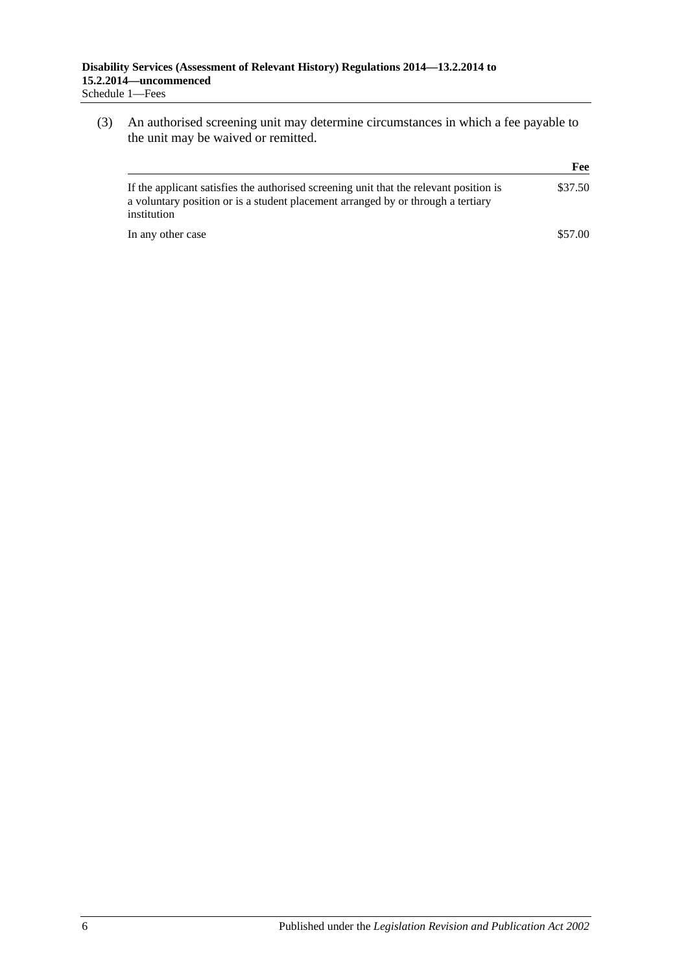<span id="page-5-0"></span>(3) An authorised screening unit may determine circumstances in which a fee payable to the unit may be waived or remitted.

|                                                                                                                                                                                           | Fee     |
|-------------------------------------------------------------------------------------------------------------------------------------------------------------------------------------------|---------|
| If the applicant satisfies the authorised screening unit that the relevant position is<br>a voluntary position or is a student placement arranged by or through a tertiary<br>institution | \$37.50 |
| In any other case                                                                                                                                                                         | \$57.00 |